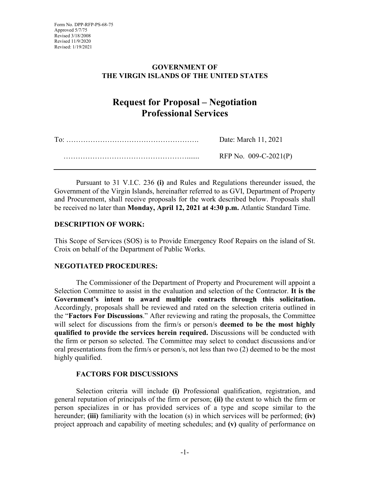#### **GOVERNMENT OF THE VIRGIN ISLANDS OF THE UNITED STATES**

# **Request for Proposal – Negotiation Professional Services**

| Date: March 11, 2021        |
|-----------------------------|
| RFP No. $009 - C - 2021(P)$ |

Pursuant to 31 V.I.C. 236 **(i)** and Rules and Regulations thereunder issued, the Government of the Virgin Islands, hereinafter referred to as GVI, Department of Property and Procurement, shall receive proposals for the work described below. Proposals shall be received no later than **Monday, April 12, 2021 at 4:30 p.m.** Atlantic Standard Time.

### **DESCRIPTION OF WORK:**

This Scope of Services (SOS) is to Provide Emergency Roof Repairs on the island of St. Croix on behalf of the Department of Public Works.

### **NEGOTIATED PROCEDURES:**

The Commissioner of the Department of Property and Procurement will appoint a Selection Committee to assist in the evaluation and selection of the Contractor. **It is the Government's intent to award multiple contracts through this solicitation.** Accordingly, proposals shall be reviewed and rated on the selection criteria outlined in the "**Factors For Discussions**." After reviewing and rating the proposals, the Committee will select for discussions from the firm/s or person/s **deemed to be the most highly qualified to provide the services herein required.** Discussions will be conducted with the firm or person so selected. The Committee may select to conduct discussions and/or oral presentations from the firm/s or person/s, not less than two (2) deemed to be the most highly qualified.

### **FACTORS FOR DISCUSSIONS**

Selection criteria will include **(i)** Professional qualification, registration, and general reputation of principals of the firm or person; **(ii)** the extent to which the firm or person specializes in or has provided services of a type and scope similar to the hereunder; **(iii)** familiarity with the location (s) in which services will be performed; **(iv)** project approach and capability of meeting schedules; and **(v)** quality of performance on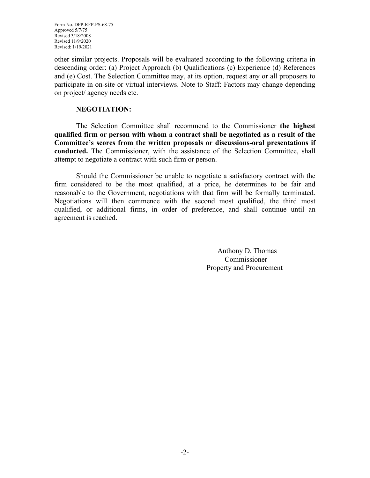Form No. DPP-RFP-PS-68-75 Approved 5/7/75 Revised 3/18/2008 Revised 11/9/2020 Revised: 1/19/2021

other similar projects. Proposals will be evaluated according to the following criteria in descending order: (a) Project Approach (b) Qualifications (c) Experience (d) References and (e) Cost. The Selection Committee may, at its option, request any or all proposers to participate in on-site or virtual interviews. Note to Staff: Factors may change depending on project/ agency needs etc.

#### **NEGOTIATION:**

The Selection Committee shall recommend to the Commissioner **the highest qualified firm or person with whom a contract shall be negotiated as a result of the Committee's scores from the written proposals or discussions-oral presentations if conducted.** The Commissioner, with the assistance of the Selection Committee, shall attempt to negotiate a contract with such firm or person.

Should the Commissioner be unable to negotiate a satisfactory contract with the firm considered to be the most qualified, at a price, he determines to be fair and reasonable to the Government, negotiations with that firm will be formally terminated. Negotiations will then commence with the second most qualified, the third most qualified, or additional firms, in order of preference, and shall continue until an agreement is reached.

> Anthony D. Thomas Commissioner Property and Procurement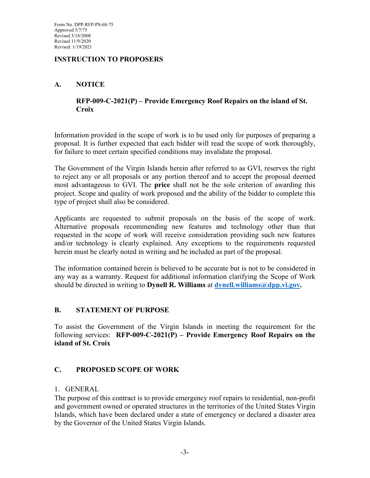### **INSTRUCTION TO PROPOSERS**

### **A. NOTICE**

### **RFP-009-C-2021(P) – Provide Emergency Roof Repairs on the island of St. Croix**

Information provided in the scope of work is to be used only for purposes of preparing a proposal. It is further expected that each bidder will read the scope of work thoroughly, for failure to meet certain specified conditions may invalidate the proposal.

The Government of the Virgin Islands herein after referred to as GVI, reserves the right to reject any or all proposals or any portion thereof and to accept the proposal deemed most advantageous to GVI. The **price** shall not be the sole criterion of awarding this project. Scope and quality of work proposed and the ability of the bidder to complete this type of project shall also be considered.

Applicants are requested to submit proposals on the basis of the scope of work. Alternative proposals recommending new features and technology other than that requested in the scope of work will receive consideration providing such new features and/or technology is clearly explained. Any exceptions to the requirements requested herein must be clearly noted in writing and be included as part of the proposal.

The information contained herein is believed to be accurate but is not to be considered in any way as a warranty. Request for additional information clarifying the Scope of Work should be directed in writing to **Dynell R. Williams** at **[dynell.williams@dpp.vi.gov.](mailto:dynell.williams@dpp.vi.gov)** 

### **B. STATEMENT OF PURPOSE**

To assist the Government of the Virgin Islands in meeting the requirement for the following services: **RFP-009-C-2021(P) – Provide Emergency Roof Repairs on the island of St. Croix**

### **C. PROPOSED SCOPE OF WORK**

#### 1. GENERAL

The purpose of this contract is to provide emergency roof repairs to residential, non-profit and government owned or operated structures in the territories of the United States Virgin Islands, which have been declared under a state of emergency or declared a disaster area by the Governor of the United States Virgin Islands.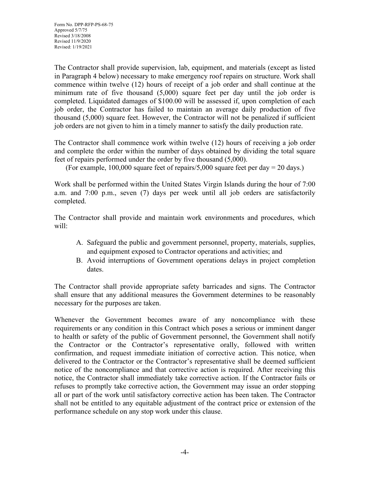The Contractor shall provide supervision, lab, equipment, and materials (except as listed in Paragraph 4 below) necessary to make emergency roof repairs on structure. Work shall commence within twelve (12) hours of receipt of a job order and shall continue at the minimum rate of five thousand (5,000) square feet per day until the job order is completed. Liquidated damages of \$100.00 will be assessed if, upon completion of each job order, the Contractor has failed to maintain an average daily production of five thousand (5,000) square feet. However, the Contractor will not be penalized if sufficient job orders are not given to him in a timely manner to satisfy the daily production rate.

The Contractor shall commence work within twelve (12) hours of receiving a job order and complete the order within the number of days obtained by dividing the total square feet of repairs performed under the order by five thousand (5,000).

(For example,  $100,000$  square feet of repairs/5,000 square feet per day = 20 days.)

Work shall be performed within the United States Virgin Islands during the hour of 7:00 a.m. and 7:00 p.m., seven (7) days per week until all job orders are satisfactorily completed.

The Contractor shall provide and maintain work environments and procedures, which will:

- A. Safeguard the public and government personnel, property, materials, supplies, and equipment exposed to Contractor operations and activities; and
- B. Avoid interruptions of Government operations delays in project completion dates.

The Contractor shall provide appropriate safety barricades and signs. The Contractor shall ensure that any additional measures the Government determines to be reasonably necessary for the purposes are taken.

Whenever the Government becomes aware of any noncompliance with these requirements or any condition in this Contract which poses a serious or imminent danger to health or safety of the public of Government personnel, the Government shall notify the Contractor or the Contractor's representative orally, followed with written confirmation, and request immediate initiation of corrective action. This notice, when delivered to the Contractor or the Contractor's representative shall be deemed sufficient notice of the noncompliance and that corrective action is required. After receiving this notice, the Contractor shall immediately take corrective action. If the Contractor fails or refuses to promptly take corrective action, the Government may issue an order stopping all or part of the work until satisfactory corrective action has been taken. The Contractor shall not be entitled to any equitable adjustment of the contract price or extension of the performance schedule on any stop work under this clause.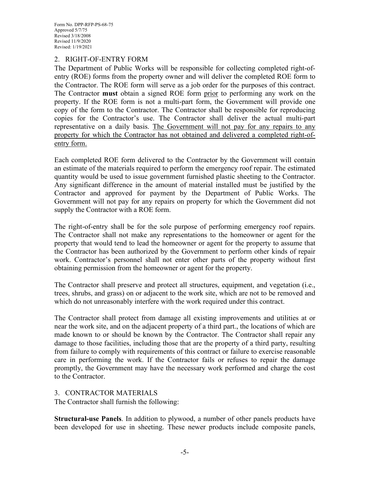Form No. DPP-RFP-PS-68-75 Approved 5/7/75 Revised 3/18/2008 Revised 11/9/2020 Revised: 1/19/2021

### 2. RIGHT-OF-ENTRY FORM

The Department of Public Works will be responsible for collecting completed right-ofentry (ROE) forms from the property owner and will deliver the completed ROE form to the Contractor. The ROE form will serve as a job order for the purposes of this contract. The Contractor **must** obtain a signed ROE form prior to performing any work on the property. If the ROE form is not a multi-part form, the Government will provide one copy of the form to the Contractor. The Contractor shall be responsible for reproducing copies for the Contractor's use. The Contractor shall deliver the actual multi-part representative on a daily basis. The Government will not pay for any repairs to any property for which the Contractor has not obtained and delivered a completed right-ofentry form.

Each completed ROE form delivered to the Contractor by the Government will contain an estimate of the materials required to perform the emergency roof repair. The estimated quantity would be used to issue government furnished plastic sheeting to the Contractor. Any significant difference in the amount of material installed must be justified by the Contractor and approved for payment by the Department of Public Works. The Government will not pay for any repairs on property for which the Government did not supply the Contractor with a ROE form.

The right-of-entry shall be for the sole purpose of performing emergency roof repairs. The Contractor shall not make any representations to the homeowner or agent for the property that would tend to lead the homeowner or agent for the property to assume that the Contractor has been authorized by the Government to perform other kinds of repair work. Contractor's personnel shall not enter other parts of the property without first obtaining permission from the homeowner or agent for the property.

The Contractor shall preserve and protect all structures, equipment, and vegetation (i.e., trees, shrubs, and grass) on or adjacent to the work site, which are not to be removed and which do not unreasonably interfere with the work required under this contract.

The Contractor shall protect from damage all existing improvements and utilities at or near the work site, and on the adjacent property of a third part., the locations of which are made known to or should be known by the Contractor. The Contractor shall repair any damage to those facilities, including those that are the property of a third party, resulting from failure to comply with requirements of this contract or failure to exercise reasonable care in performing the work. If the Contractor fails or refuses to repair the damage promptly, the Government may have the necessary work performed and charge the cost to the Contractor.

#### 3. CONTRACTOR MATERIALS

The Contractor shall furnish the following:

**Structural-use Panels**. In addition to plywood, a number of other panels products have been developed for use in sheeting. These newer products include composite panels,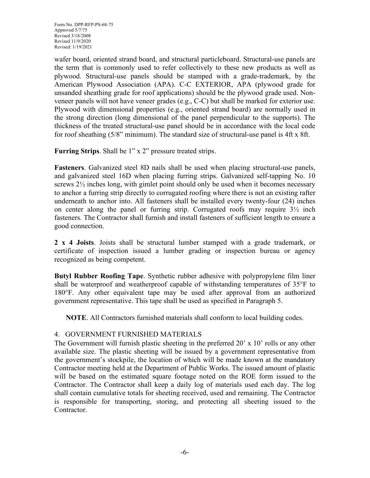wafer board, oriented strand board, and structural particleboard. Structural-use panels are the term that is commonly used to refer collectively to these new products as well as plywood. Structural-use panels should be stamped with a grade-trademark, by the American Plywood Association (APA). C-C EXTERIOR, APA (plywood grade for unsanded sheathing grade for roof applications) should be the plywood grade used. Nonveneer panels will not have veneer grades (e.g., C-C) but shall be marked for exterior use. Plywood with dimensional properties (e.g., oriented strand board) are normally used in the strong direction (long dimensional of the panel perpendicular to the supports). The thickness of the treated structural-use panel should be in accordance with the local code for roof sheathing (5/8" minimum). The standard size of structural-use panel is 4ft x 8ft.

**Furring Strips**. Shall be 1" x 2" pressure treated strips.

**Fasteners**. Galvanized steel 8D nails shall be used when placing structural-use panels, and galvanized steel 16D when placing furring strips. Galvanized self-tapping No. 10 screws 2<sup>1/2</sup> inches long, with gimlet point should only be used when it becomes necessary to anchor a furring strip directly to corrugated roofing where there is not an existing rafter underneath to anchor into. All fasteners shall be installed every twenty-four (24) inches on center along the panel or furring strip. Corrugated roofs may require  $3\frac{1}{2}$  inch fasteners. The Contractor shall furnish and install fasteners of sufficient length to ensure a good connection.

**2 x 4 Joists**. Joists shall be structural lumber stamped with a grade trademark, or certificate of inspection issued a lumber grading or inspection bureau or agency recognized as being competent.

**Butyl Rubber Roofing Tape**. Synthetic rubber adhesive with polypropylene film liner shall be waterproof and weatherproof capable of withstanding temperatures of 35°F to 180°F. Any other equivalent tape may be used after approval from an authorized government representative. This tape shall be used as specified in Paragraph 5.

**NOTE**. All Contractors furnished materials shall conform to local building codes.

#### 4. GOVERNMENT FURNISHED MATERIALS

The Government will furnish plastic sheeting in the preferred 20' x 10' rolls or any other available size. The plastic sheeting will be issued by a government representative from the government's stockpile, the location of which will be made known at the mandatory Contractor meeting held at the Department of Public Works. The issued amount of plastic will be based on the estimated square footage noted on the ROE form issued to the Contractor. The Contractor shall keep a daily log of materials used each day. The log shall contain cumulative totals for sheeting received, used and remaining. The Contractor is responsible for transporting, storing, and protecting all sheeting issued to the Contractor.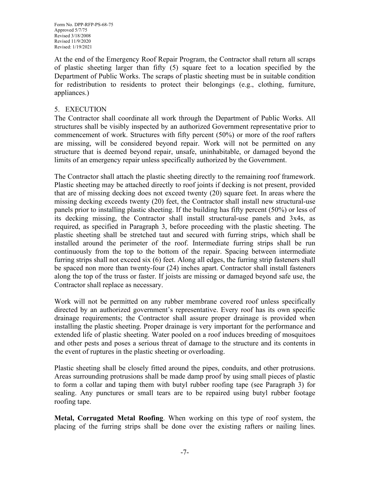Form No. DPP-RFP-PS-68-75 Approved 5/7/75 Revised 3/18/2008 Revised 11/9/2020 Revised: 1/19/2021

At the end of the Emergency Roof Repair Program, the Contractor shall return all scraps of plastic sheeting larger than fifty (5) square feet to a location specified by the Department of Public Works. The scraps of plastic sheeting must be in suitable condition for redistribution to residents to protect their belongings (e.g., clothing, furniture, appliances.)

#### 5. EXECUTION

The Contractor shall coordinate all work through the Department of Public Works. All structures shall be visibly inspected by an authorized Government representative prior to commencement of work. Structures with fifty percent (50%) or more of the roof rafters are missing, will be considered beyond repair. Work will not be permitted on any structure that is deemed beyond repair, unsafe, uninhabitable, or damaged beyond the limits of an emergency repair unless specifically authorized by the Government.

The Contractor shall attach the plastic sheeting directly to the remaining roof framework. Plastic sheeting may be attached directly to roof joints if decking is not present, provided that are of missing decking does not exceed twenty (20) square feet. In areas where the missing decking exceeds twenty (20) feet, the Contractor shall install new structural-use panels prior to installing plastic sheeting. If the building has fifty percent (50%) or less of its decking missing, the Contractor shall install structural-use panels and 3x4s, as required, as specified in Paragraph 3, before proceeding with the plastic sheeting. The plastic sheeting shall be stretched taut and secured with furring strips, which shall be installed around the perimeter of the roof. Intermediate furring strips shall be run continuously from the top to the bottom of the repair. Spacing between intermediate furring strips shall not exceed six (6) feet. Along all edges, the furring strip fasteners shall be spaced non more than twenty-four (24) inches apart. Contractor shall install fasteners along the top of the truss or faster. If joists are missing or damaged beyond safe use, the Contractor shall replace as necessary.

Work will not be permitted on any rubber membrane covered roof unless specifically directed by an authorized government's representative. Every roof has its own specific drainage requirements; the Contractor shall assure proper drainage is provided when installing the plastic sheeting. Proper drainage is very important for the performance and extended life of plastic sheeting. Water pooled on a roof induces breeding of mosquitoes and other pests and poses a serious threat of damage to the structure and its contents in the event of ruptures in the plastic sheeting or overloading.

Plastic sheeting shall be closely fitted around the pipes, conduits, and other protrusions. Areas surrounding protrusions shall be made damp proof by using small pieces of plastic to form a collar and taping them with butyl rubber roofing tape (see Paragraph 3) for sealing. Any punctures or small tears are to be repaired using butyl rubber footage roofing tape.

**Metal, Corrugated Metal Roofing**. When working on this type of roof system, the placing of the furring strips shall be done over the existing rafters or nailing lines.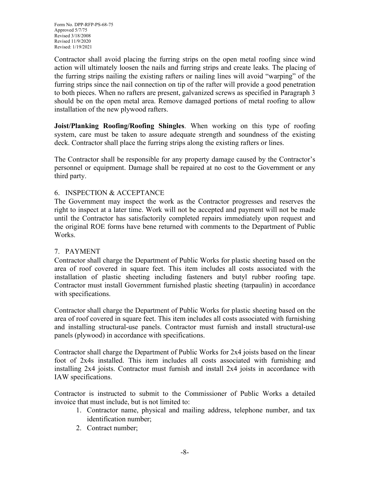Contractor shall avoid placing the furring strips on the open metal roofing since wind action will ultimately loosen the nails and furring strips and create leaks. The placing of the furring strips nailing the existing rafters or nailing lines will avoid "warping" of the furring strips since the nail connection on tip of the rafter will provide a good penetration to both pieces. When no rafters are present, galvanized screws as specified in Paragraph 3 should be on the open metal area. Remove damaged portions of metal roofing to allow installation of the new plywood rafters.

**Joist/Planking Roofing/Roofing Shingles**. When working on this type of roofing system, care must be taken to assure adequate strength and soundness of the existing deck. Contractor shall place the furring strips along the existing rafters or lines.

The Contractor shall be responsible for any property damage caused by the Contractor's personnel or equipment. Damage shall be repaired at no cost to the Government or any third party.

### 6. INSPECTION & ACCEPTANCE

The Government may inspect the work as the Contractor progresses and reserves the right to inspect at a later time. Work will not be accepted and payment will not be made until the Contractor has satisfactorily completed repairs immediately upon request and the original ROE forms have bene returned with comments to the Department of Public Works.

### 7. PAYMENT

Contractor shall charge the Department of Public Works for plastic sheeting based on the area of roof covered in square feet. This item includes all costs associated with the installation of plastic sheeting including fasteners and butyl rubber roofing tape. Contractor must install Government furnished plastic sheeting (tarpaulin) in accordance with specifications.

Contractor shall charge the Department of Public Works for plastic sheeting based on the area of roof covered in square feet. This item includes all costs associated with furnishing and installing structural-use panels. Contractor must furnish and install structural-use panels (plywood) in accordance with specifications.

Contractor shall charge the Department of Public Works for 2x4 joists based on the linear foot of 2x4s installed. This item includes all costs associated with furnishing and installing 2x4 joists. Contractor must furnish and install 2x4 joists in accordance with IAW specifications.

Contractor is instructed to submit to the Commissioner of Public Works a detailed invoice that must include, but is not limited to:

- 1. Contractor name, physical and mailing address, telephone number, and tax identification number;
- 2. Contract number;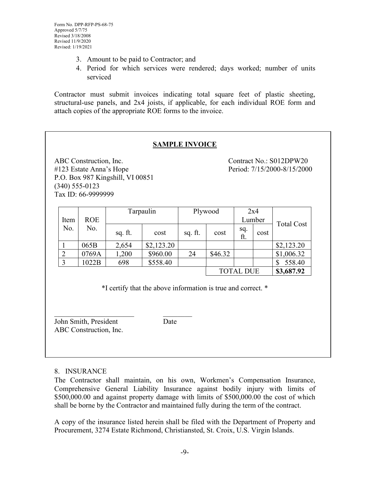- 3. Amount to be paid to Contractor; and
- 4. Period for which services were rendered; days worked; number of units serviced

Contractor must submit invoices indicating total square feet of plastic sheeting, structural-use panels, and 2x4 joists, if applicable, for each individual ROE form and attach copies of the appropriate ROE forms to the invoice.

### **SAMPLE INVOICE**

ABC Construction, Inc. Contract No.: S012DPW20 #123 Estate Anna's Hope Period: 7/15/2000-8/15/2000 P.O. Box 987 Kingshill, VI 00851 (340) 555-0123 Tax ID: 66-9999999

| Item | <b>ROE</b> | Tarpaulin |            | Plywood |         | 2x4<br>Lumber    |      |                   |
|------|------------|-----------|------------|---------|---------|------------------|------|-------------------|
| No.  | No.        | sq. ft.   | cost       | sq. ft. | cost    | sq.<br>ft.       | cost | <b>Total Cost</b> |
|      | 065B       | 2,654     | \$2,123.20 |         |         |                  |      | \$2,123.20        |
| 2    | 0769A      | 1,200     | \$960.00   | 24      | \$46.32 |                  |      | \$1,006.32        |
| 3    | 1022B      | 698       | \$558.40   |         |         |                  |      | 558.40<br>\$      |
|      |            |           |            |         |         | <b>TOTAL DUE</b> |      | \$3,687.92        |

\*I certify that the above information is true and correct. \*

 $\overline{\phantom{a}}$  , and the set of the set of the set of the set of the set of the set of the set of the set of the set of the set of the set of the set of the set of the set of the set of the set of the set of the set of the s John Smith, President Date ABC Construction, Inc.

### 8. INSURANCE

The Contractor shall maintain, on his own, Workmen's Compensation Insurance, Comprehensive General Liability Insurance against bodily injury with limits of \$500,000.00 and against property damage with limits of \$500,000.00 the cost of which shall be borne by the Contractor and maintained fully during the term of the contract.

A copy of the insurance listed herein shall be filed with the Department of Property and Procurement, 3274 Estate Richmond, Christiansted, St. Croix, U.S. Virgin Islands.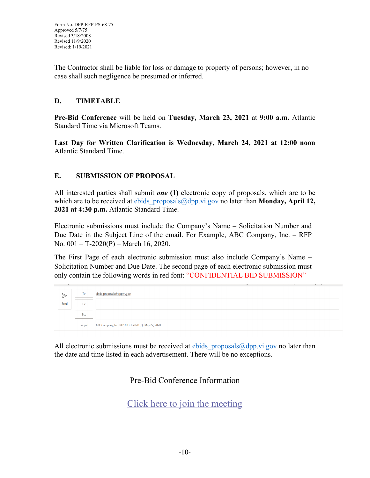The Contractor shall be liable for loss or damage to property of persons; however, in no case shall such negligence be presumed or inferred.

### **D. TIMETABLE**

**Pre-Bid Conference** will be held on **Tuesday, March 23, 2021** at **9:00 a.m.** Atlantic Standard Time via Microsoft Teams.

**Last Day for Written Clarification is Wednesday, March 24, 2021 at 12:00 noon**  Atlantic Standard Time.

### **E. SUBMISSION OF PROPOSAL**

All interested parties shall submit *one* **(1)** electronic copy of proposals, which are to be which are to be received at ebids proposals@dpp.vi.gov no later than **Monday, April 12, 2021 at 4:30 p.m.** Atlantic Standard Time.

Electronic submissions must include the Company's Name – Solicitation Number and Due Date in the Subject Line of the email. For Example, ABC Company, Inc. – RFP No. 001 – T-2020(P) – March 16, 2020.

The First Page of each electronic submission must also include Company's Name – Solicitation Number and Due Date. The second page of each electronic submission must only contain the following words in red font: "CONFIDENTIAL BID SUBMISSION"

| ⊳    | To  | ebids proposals@dpp.vi.gov;                                |
|------|-----|------------------------------------------------------------|
| Send | Cc. |                                                            |
|      | Bcc |                                                            |
|      |     | Subject ABC Company, Inc.-RFP-033-T-2020 (P)- May 22, 2020 |

All electronic submissions must be received at ebids  $proposals@dpp.vi.gov$  no later than the date and time listed in each advertisement. There will be no exceptions.

Pre-Bid Conference Information

[Click here to join the meeting](https://teams.microsoft.com/l/meetup-join/19%3ameeting_YWY2YzRlMWItNzFkYy00NGRkLTg3OWItODM0NWEwN2EzMmU5%40thread.v2/0?context=%7b%22Tid%22%3a%22c6c12b25-87cc-4f04-8d48-314ff405b090%22%2c%22Oid%22%3a%221eda7dec-3301-44ad-a52a-bc241bc292ab%22%7d)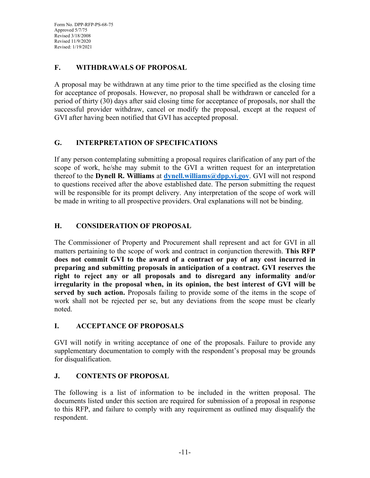### **F. WITHDRAWALS OF PROPOSAL**

A proposal may be withdrawn at any time prior to the time specified as the closing time for acceptance of proposals. However, no proposal shall be withdrawn or canceled for a period of thirty (30) days after said closing time for acceptance of proposals, nor shall the successful provider withdraw, cancel or modify the proposal, except at the request of GVI after having been notified that GVI has accepted proposal.

### **G. INTERPRETATION OF SPECIFICATIONS**

If any person contemplating submitting a proposal requires clarification of any part of the scope of work, he/she may submit to the GVI a written request for an interpretation thereof to the **Dynell R. Williams** at **[dynell.williams@dpp.vi.gov](mailto:dynell.williams@dpp.vi.gov)**. GVI will not respond to questions received after the above established date. The person submitting the request will be responsible for its prompt delivery. Any interpretation of the scope of work will be made in writing to all prospective providers. Oral explanations will not be binding.

### **H. CONSIDERATION OF PROPOSAL**

The Commissioner of Property and Procurement shall represent and act for GVI in all matters pertaining to the scope of work and contract in conjunction therewith. **This RFP does not commit GVI to the award of a contract or pay of any cost incurred in preparing and submitting proposals in anticipation of a contract. GVI reserves the right to reject any or all proposals and to disregard any informality and/or irregularity in the proposal when, in its opinion, the best interest of GVI will be served by such action.** Proposals failing to provide some of the items in the scope of work shall not be rejected per se, but any deviations from the scope must be clearly noted.

### **I. ACCEPTANCE OF PROPOSALS**

GVI will notify in writing acceptance of one of the proposals. Failure to provide any supplementary documentation to comply with the respondent's proposal may be grounds for disqualification.

### **J. CONTENTS OF PROPOSAL**

The following is a list of information to be included in the written proposal. The documents listed under this section are required for submission of a proposal in response to this RFP, and failure to comply with any requirement as outlined may disqualify the respondent.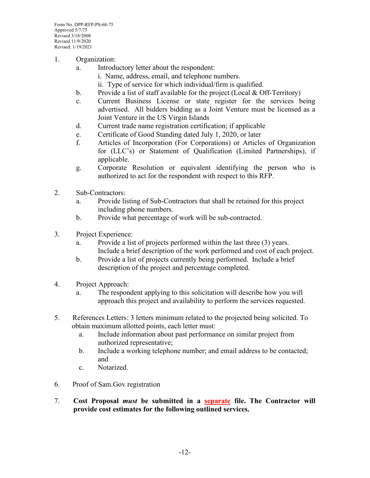Form No. DPP-RFP-PS-68-75 Approved 5/7/75 Revised 3/18/2008 Revised 11/9/2020 Revised: 1/19/2021

- 1. Organization:
	- a. Introductory letter about the respondent:
		- i. Name, address, email, and telephone numbers.
		- ii. Type of service for which individual/firm is qualified.
	- b. Provide a list of staff available for the project (Local  $&$  Off-Territory)
	- c. Current Business License or state register for the services being advertised. All bidders bidding as a Joint Venture must be licensed as a Joint Venture in the US Virgin Islands
	- d. Current trade name registration certification; if applicable
	- e. Certificate of Good Standing dated July 1, 2020, or later
	- f. Articles of Incorporation (For Corporations) or Articles of Organization for (LLC's) or Statement of Qualification (Limited Partnerships), if applicable.
	- g. Corporate Resolution or equivalent identifying the person who is authorized to act for the respondent with respect to this RFP.
- 2. Sub-Contractors:
	- a. Provide listing of Sub-Contractors that shall be retained for this project including phone numbers.
	- b. Provide what percentage of work will be sub-contracted.
- 3. Project Experience:
	- a. Provide a list of projects performed within the last three (3) years. Include a brief description of the work performed and cost of each project.
	- b. Provide a list of projects currently being performed. Include a brief description of the project and percentage completed.
- 4. Project Approach:
	- a. The respondent applying to this solicitation will describe how you will approach this project and availability to perform the services requested.
- 5. References Letters: 3 letters minimum related to the projected being solicited. To obtain maximum allotted points, each letter must:
	- a. Include information about past performance on similar project from authorized representative;
	- b. Include a working telephone number; and email address to be contacted; and
	- c. Notarized.
- 6. Proof of Sam.Gov registration
- 7. **Cost Proposal** *must* **be submitted in a separate file. The Contractor will provide cost estimates for the following outlined services.**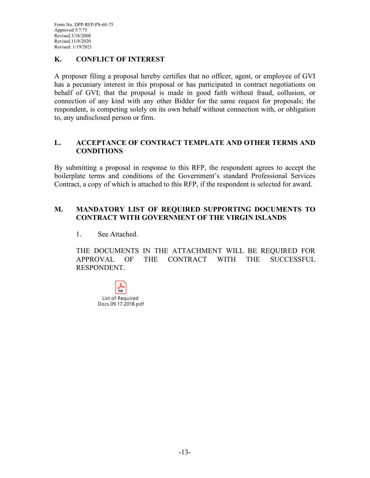### **K. CONFLICT OF INTEREST**

A proposer filing a proposal hereby certifies that no officer, agent, or employee of GVI has a pecuniary interest in this proposal or has participated in contract negotiations on behalf of GVI; that the proposal is made in good faith without fraud, collusion, or connection of any kind with any other Bidder for the same request for proposals; the respondent, is competing solely on its own behalf without connection with, or obligation to, any undisclosed person or firm.

#### **L. ACCEPTANCE OF CONTRACT TEMPLATE AND OTHER TERMS AND CONDITIONS**

By submitting a proposal in response to this RFP, the respondent agrees to accept the boilerplate terms and conditions of the Government's standard Professional Services Contract, a copy of which is attached to this RFP, if the respondent is selected for award.

#### **M. MANDATORY LIST OF REQUIRED SUPPORTING DOCUMENTS TO CONTRACT WITH GOVERNMENT OF THE VIRGIN ISLANDS**

1. See Attached.

THE DOCUMENTS IN THE ATTACHMENT WILL BE REQUIRED FOR APPROVAL OF THE CONTRACT WITH THE SUCCESSFUL RESPONDENT.

晶 List of Required Docs.09.17.2018.pdf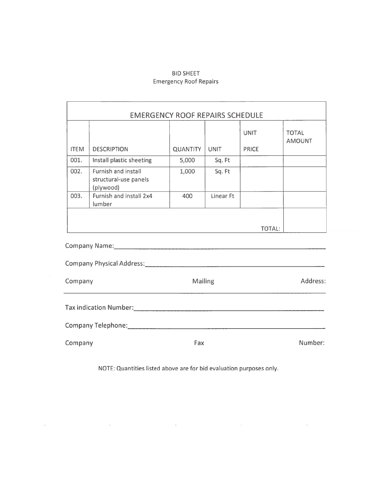#### **BID SHEET Emergency Roof Repairs**

|             |                                                                                                                | <b>EMERGENCY ROOF REPAIRS SCHEDULE</b> |                  |              |                               |
|-------------|----------------------------------------------------------------------------------------------------------------|----------------------------------------|------------------|--------------|-------------------------------|
|             |                                                                                                                |                                        |                  | <b>UNIT</b>  | <b>TOTAL</b><br><b>AMOUNT</b> |
| <b>ITEM</b> | <b>DESCRIPTION</b>                                                                                             | <b>QUANTITY</b>                        | <b>UNIT</b>      | <b>PRICE</b> |                               |
| 001.        | Install plastic sheeting                                                                                       | 5,000                                  | Sq. Ft           |              |                               |
| 002.        | <b>Furnish and install</b><br>structural-use panels<br>(plywood)                                               | 1,000                                  | Sq. Ft           |              |                               |
| 003.        | Furnish and install 2x4<br>lumber                                                                              | 400                                    | <b>Linear Ft</b> |              |                               |
|             |                                                                                                                |                                        |                  | TOTAL:       |                               |
|             | Company Name: Manual Manual Manual Manual Manual Manual Manual Manual Manual Manual Manual Manual Manual Manua |                                        |                  |              |                               |
|             | Company Physical Address: Company Physical Address:                                                            |                                        |                  |              |                               |
|             | Address:<br><b>Mailing</b><br>Company                                                                          |                                        |                  |              |                               |
|             |                                                                                                                |                                        |                  |              |                               |
|             | Company Telephone: Company Telephone:                                                                          |                                        |                  |              |                               |

Company

 $\frac{\partial \mathbf{p}}{\partial \mathbf{p}} = \frac{\partial \mathbf{p}}{\partial \mathbf{p}}$ 

Fax

 $\omega$  .

Number:

 $\sim$ 

NOTE: Quantities listed above are for bid evaluation purposes only.

 $\label{eq:1.1} \langle \mathcal{A} \rangle \rangle = \langle \mathcal{A} \rangle$ 

 $\frac{1}{2} \sum_{i=1}^n \frac{1}{2} \sum_{j=1}^n \frac{1}{2} \sum_{j=1}^n \frac{1}{2} \sum_{j=1}^n \frac{1}{2} \sum_{j=1}^n \frac{1}{2} \sum_{j=1}^n \frac{1}{2} \sum_{j=1}^n \frac{1}{2} \sum_{j=1}^n \frac{1}{2} \sum_{j=1}^n \frac{1}{2} \sum_{j=1}^n \frac{1}{2} \sum_{j=1}^n \frac{1}{2} \sum_{j=1}^n \frac{1}{2} \sum_{j=1}^n \frac{1}{2} \sum_{j=$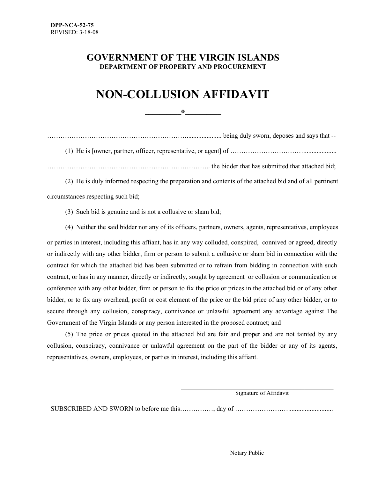## **GOVERNMENT OF THE VIRGIN ISLANDS DEPARTMENT OF PROPERTY AND PROCUREMENT**

# **NON-COLLUSION AFFIDAVIT**

**\_\_\_\_\_\_\_\_\_\_o\_\_\_\_\_\_\_\_\_\_**

………………………………………………………..................... being duly sworn, deposes and says that --

(1) He is [owner, partner, officer, representative, or agent] of ……………………………....................

……………………………………………………………….. the bidder that has submitted that attached bid;

(2) He is duly informed respecting the preparation and contents of the attached bid and of all pertinent circumstances respecting such bid;

- (3) Such bid is genuine and is not a collusive or sham bid;
- (4) Neither the said bidder nor any of its officers, partners, owners, agents, representatives, employees

or parties in interest, including this affiant, has in any way colluded, conspired, connived or agreed, directly or indirectly with any other bidder, firm or person to submit a collusive or sham bid in connection with the contract for which the attached bid has been submitted or to refrain from bidding in connection with such contract, or has in any manner, directly or indirectly, sought by agreement or collusion or communication or conference with any other bidder, firm or person to fix the price or prices in the attached bid or of any other bidder, or to fix any overhead, profit or cost element of the price or the bid price of any other bidder, or to secure through any collusion, conspiracy, connivance or unlawful agreement any advantage against The Government of the Virgin Islands or any person interested in the proposed contract; and

(5) The price or prices quoted in the attached bid are fair and proper and are not tainted by any collusion, conspiracy, connivance or unlawful agreement on the part of the bidder or any of its agents, representatives, owners, employees, or parties in interest, including this affiant.

Signature of Affidavit

**\_\_\_\_\_\_\_\_\_\_\_\_\_\_\_\_\_\_\_\_\_\_\_\_\_\_\_\_\_\_\_\_\_\_\_\_\_\_\_\_\_\_**

SUBSCRIBED AND SWORN to before me this……………, day of …………………………………………………………………………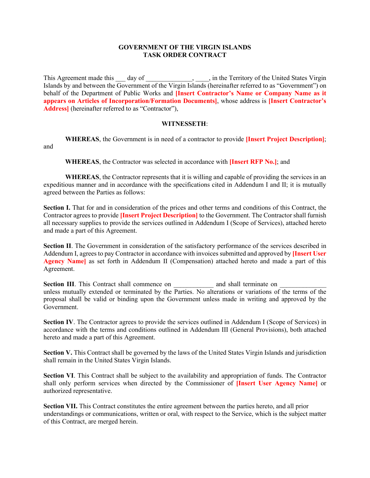#### **GOVERNMENT OF THE VIRGIN ISLANDS TASK ORDER CONTRACT**

This Agreement made this \_\_\_ day of \_\_\_\_\_\_\_\_\_\_\_\_\_\_, \_\_\_\_, in the Territory of the United States Virgin Islands by and between the Government of the Virgin Islands (hereinafter referred to as "Government") on behalf of the Department of Public Works and **[Insert Contractor's Name or Company Name as it appears on Articles of Incorporation/Formation Documents]**, whose address is **[Insert Contractor's Address]** (hereinafter referred to as "Contractor"),

#### **WITNESSETH**:

**WHEREAS**, the Government is in need of a contractor to provide **[Insert Project Description]**; and

**WHEREAS**, the Contractor was selected in accordance with **[Insert RFP No.]**; and

**WHEREAS**, the Contractor represents that it is willing and capable of providing the services in an expeditious manner and in accordance with the specifications cited in Addendum I and II; it is mutually agreed between the Parties as follows:

**Section I.** That for and in consideration of the prices and other terms and conditions of this Contract, the Contractor agrees to provide **[Insert Project Description]** to the Government. The Contractor shall furnish all necessary supplies to provide the services outlined in Addendum I (Scope of Services), attached hereto and made a part of this Agreement.

Section II. The Government in consideration of the satisfactory performance of the services described in Addendum I, agrees to pay Contractor in accordance with invoices submitted and approved by **[Insert User Agency Name]** as set forth in Addendum II (Compensation) attached hereto and made a part of this Agreement.

**Section III**. This Contract shall commence on  $\qquad$  and shall terminate on unless mutually extended or terminated by the Parties. No alterations or variations of the terms of the proposal shall be valid or binding upon the Government unless made in writing and approved by the Government.

**Section IV**. The Contractor agrees to provide the services outlined in Addendum I (Scope of Services) in accordance with the terms and conditions outlined in Addendum III (General Provisions), both attached hereto and made a part of this Agreement.

**Section V.** This Contract shall be governed by the laws of the United States Virgin Islands and jurisdiction shall remain in the United States Virgin Islands.

**Section VI**. This Contract shall be subject to the availability and appropriation of funds. The Contractor shall only perform services when directed by the Commissioner of **[Insert User Agency Name]** or authorized representative.

**Section VII.** This Contract constitutes the entire agreement between the parties hereto, and all prior understandings or communications, written or oral, with respect to the Service, which is the subject matter of this Contract, are merged herein.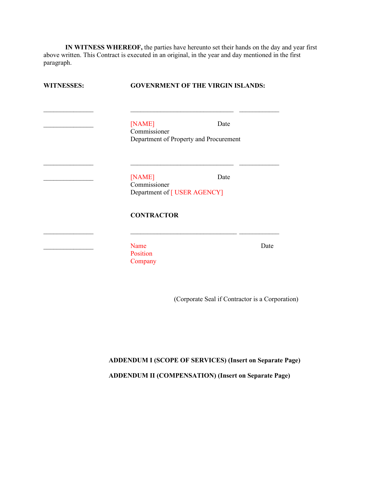**IN WITNESS WHEREOF,** the parties have hereunto set their hands on the day and year first above written. This Contract is executed in an original, in the year and day mentioned in the first paragraph.

| <b>WITNESSES:</b> | <b>GOVENRMENT OF THE VIRGIN ISLANDS:</b>                         |      |  |  |
|-------------------|------------------------------------------------------------------|------|--|--|
|                   | [NAME]<br>Commissioner<br>Department of Property and Procurement | Date |  |  |
|                   | [NAME]<br>Commissioner<br>Department of [ USER AGENCY]           | Date |  |  |
|                   | <b>CONTRACTOR</b>                                                |      |  |  |
|                   | Name<br>Position<br>Company                                      | Date |  |  |

(Corporate Seal if Contractor is a Corporation)

**ADDENDUM I (SCOPE OF SERVICES) (Insert on Separate Page)**

**ADDENDUM II (COMPENSATION) (Insert on Separate Page)**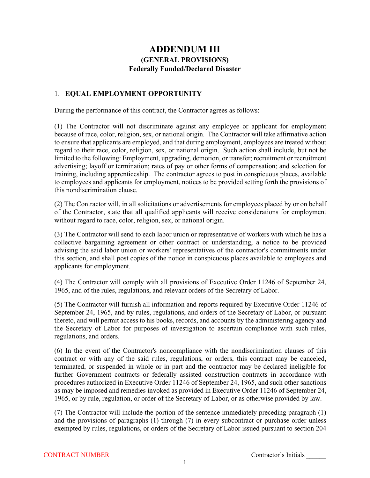### **ADDENDUM III (GENERAL PROVISIONS) Federally Funded/Declared Disaster**

#### 1. **EQUAL EMPLOYMENT OPPORTUNITY**

During the performance of this contract, the Contractor agrees as follows:

(1) The Contractor will not discriminate against any employee or applicant for employment because of race, color, religion, sex, or national origin. The Contractor will take affirmative action to ensure that applicants are employed, and that during employment, employees are treated without regard to their race, color, religion, sex, or national origin. Such action shall include, but not be limited to the following: Employment, upgrading, demotion, or transfer; recruitment or recruitment advertising; layoff or termination; rates of pay or other forms of compensation; and selection for training, including apprenticeship. The contractor agrees to post in conspicuous places, available to employees and applicants for employment, notices to be provided setting forth the provisions of this nondiscrimination clause.

(2) The Contractor will, in all solicitations or advertisements for employees placed by or on behalf of the Contractor, state that all qualified applicants will receive considerations for employment without regard to race, color, religion, sex, or national origin.

(3) The Contractor will send to each labor union or representative of workers with which he has a collective bargaining agreement or other contract or understanding, a notice to be provided advising the said labor union or workers' representatives of the contractor's commitments under this section, and shall post copies of the notice in conspicuous places available to employees and applicants for employment.

(4) The Contractor will comply with all provisions of Executive Order 11246 of September 24, 1965, and of the rules, regulations, and relevant orders of the Secretary of Labor.

(5) The Contractor will furnish all information and reports required by Executive Order 11246 of September 24, 1965, and by rules, regulations, and orders of the Secretary of Labor, or pursuant thereto, and will permit access to his books, records, and accounts by the administering agency and the Secretary of Labor for purposes of investigation to ascertain compliance with such rules, regulations, and orders.

(6) In the event of the Contractor's noncompliance with the nondiscrimination clauses of this contract or with any of the said rules, regulations, or orders, this contract may be canceled, terminated, or suspended in whole or in part and the contractor may be declared ineligible for further Government contracts or federally assisted construction contracts in accordance with procedures authorized in Executive Order 11246 of September 24, 1965, and such other sanctions as may be imposed and remedies invoked as provided in Executive Order 11246 of September 24, 1965, or by rule, regulation, or order of the Secretary of Labor, or as otherwise provided by law.

(7) The Contractor will include the portion of the sentence immediately preceding paragraph (1) and the provisions of paragraphs (1) through (7) in every subcontract or purchase order unless exempted by rules, regulations, or orders of the Secretary of Labor issued pursuant to section 204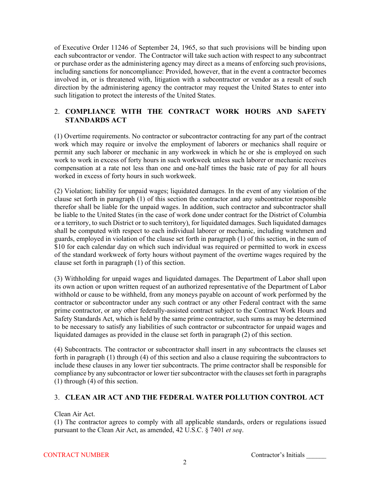of Executive Order 11246 of September 24, 1965, so that such provisions will be binding upon each subcontractor or vendor. The Contractor will take such action with respect to any subcontract or purchase order as the administering agency may direct as a means of enforcing such provisions, including sanctions for noncompliance: Provided, however, that in the event a contractor becomes involved in, or is threatened with, litigation with a subcontractor or vendor as a result of such direction by the administering agency the contractor may request the United States to enter into such litigation to protect the interests of the United States.

### 2. **COMPLIANCE WITH THE CONTRACT WORK HOURS AND SAFETY STANDARDS ACT**

(1) Overtime requirements. No contractor or subcontractor contracting for any part of the contract work which may require or involve the employment of laborers or mechanics shall require or permit any such laborer or mechanic in any workweek in which he or she is employed on such work to work in excess of forty hours in such workweek unless such laborer or mechanic receives compensation at a rate not less than one and one-half times the basic rate of pay for all hours worked in excess of forty hours in such workweek.

(2) Violation; liability for unpaid wages; liquidated damages. In the event of any violation of the clause set forth in paragraph (1) of this section the contractor and any subcontractor responsible therefor shall be liable for the unpaid wages. In addition, such contractor and subcontractor shall be liable to the United States (in the case of work done under contract for the District of Columbia or a territory, to such District or to such territory), for liquidated damages. Such liquidated damages shall be computed with respect to each individual laborer or mechanic, including watchmen and guards, employed in violation of the clause set forth in paragraph (1) of this section, in the sum of \$10 for each calendar day on which such individual was required or permitted to work in excess of the standard workweek of forty hours without payment of the overtime wages required by the clause set forth in paragraph (1) of this section.

(3) Withholding for unpaid wages and liquidated damages. The Department of Labor shall upon its own action or upon written request of an authorized representative of the Department of Labor withhold or cause to be withheld, from any moneys payable on account of work performed by the contractor or subcontractor under any such contract or any other Federal contract with the same prime contractor, or any other federally-assisted contract subject to the Contract Work Hours and Safety Standards Act, which is held by the same prime contractor, such sums as may be determined to be necessary to satisfy any liabilities of such contractor or subcontractor for unpaid wages and liquidated damages as provided in the clause set forth in paragraph (2) of this section.

(4) Subcontracts. The contractor or subcontractor shall insert in any subcontracts the clauses set forth in paragraph (1) through (4) of this section and also a clause requiring the subcontractors to include these clauses in any lower tier subcontracts. The prime contractor shall be responsible for compliance by any subcontractor or lower tier subcontractor with the clauses set forth in paragraphs (1) through (4) of this section.

### 3. **CLEAN AIR ACT AND THE FEDERAL WATER POLLUTION CONTROL ACT**

Clean Air Act.

(1) The contractor agrees to comply with all applicable standards, orders or regulations issued pursuant to the Clean Air Act, as amended, 42 U.S.C. § 7401 *et seq*.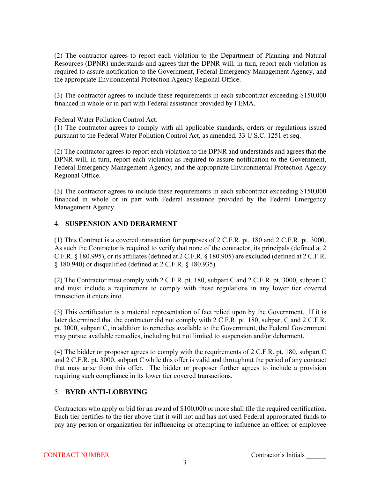(2) The contractor agrees to report each violation to the Department of Planning and Natural Resources (DPNR) understands and agrees that the DPNR will, in turn, report each violation as required to assure notification to the Government, Federal Emergency Management Agency, and the appropriate Environmental Protection Agency Regional Office.

(3) The contractor agrees to include these requirements in each subcontract exceeding \$150,000 financed in whole or in part with Federal assistance provided by FEMA.

Federal Water Pollution Control Act.

(1) The contractor agrees to comply with all applicable standards, orders or regulations issued pursuant to the Federal Water Pollution Control Act, as amended, 33 U.S.C. 1251 et seq.

(2) The contractor agrees to report each violation to the DPNR and understands and agrees that the DPNR will, in turn, report each violation as required to assure notification to the Government, Federal Emergency Management Agency, and the appropriate Environmental Protection Agency Regional Office.

(3) The contractor agrees to include these requirements in each subcontract exceeding \$150,000 financed in whole or in part with Federal assistance provided by the Federal Emergency Management Agency.

#### 4. **SUSPENSION AND DEBARMENT**

(1) This Contract is a covered transaction for purposes of 2 C.F.R. pt. 180 and 2 C.F.R. pt. 3000. As such the Contractor is required to verify that none of the contractor, its principals (defined at 2 C.F.R. § 180.995), or its affiliates (defined at 2 C.F.R. § 180.905) are excluded (defined at 2 C.F.R. § 180.940) or disqualified (defined at 2 C.F.R. § 180.935).

(2) The Contractor must comply with 2 C.F.R. pt. 180, subpart C and 2 C.F.R. pt. 3000, subpart C and must include a requirement to comply with these regulations in any lower tier covered transaction it enters into.

(3) This certification is a material representation of fact relied upon by the Government. If it is later determined that the contractor did not comply with 2 C.F.R. pt. 180, subpart C and 2 C.F.R. pt. 3000, subpart C, in addition to remedies available to the Government, the Federal Government may pursue available remedies, including but not limited to suspension and/or debarment.

(4) The bidder or proposer agrees to comply with the requirements of 2 C.F.R. pt. 180, subpart C and 2 C.F.R. pt. 3000, subpart C while this offer is valid and throughout the period of any contract that may arise from this offer. The bidder or proposer further agrees to include a provision requiring such compliance in its lower tier covered transactions.

#### 5. **BYRD ANTI-LOBBYING**

Contractors who apply or bid for an award of \$100,000 or more shall file the required certification. Each tier certifies to the tier above that it will not and has not used Federal appropriated funds to pay any person or organization for influencing or attempting to influence an officer or employee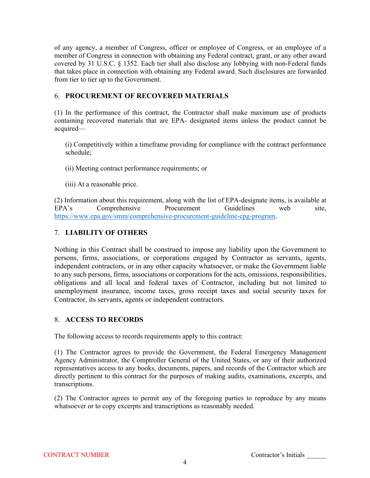of any agency, a member of Congress, officer or employee of Congress, or an employee of a member of Congress in connection with obtaining any Federal contract, grant, or any other award covered by 31 U.S.C. § 1352. Each tier shall also disclose any lobbying with non-Federal funds that takes place in connection with obtaining any Federal award. Such disclosures are forwarded from tier to tier up to the Government.

#### 6. **PROCUREMENT OF RECOVERED MATERIALS**

(1) In the performance of this contract, the Contractor shall make maximum use of products containing recovered materials that are EPA- designated items unless the product cannot be acquired—

(i) Competitively within a timeframe providing for compliance with the contract performance schedule;

(ii) Meeting contract performance requirements; or

(iii) At a reasonable price.

(2) Information about this requirement, along with the list of EPA-designate items, is available at EPA's Comprehensive Procurement Guidelines web site, [https://www.epa.gov/smm/comprehensive-procurement-guideline-cpg-program.](https://www.epa.gov/smm/comprehensive-procurement-guideline-cpg-program)

#### 7. **LIABILITY OF OTHERS**

Nothing in this Contract shall be construed to impose any liability upon the Government to persons, firms, associations, or corporations engaged by Contractor as servants, agents, independent contractors, or in any other capacity whatsoever, or make the Government liable to any such persons, firms, associations or corporations for the acts, omissions, responsibilities, obligations and all local and federal taxes of Contractor, including but not limited to unemployment insurance, income taxes, gross receipt taxes and social security taxes for Contractor, its servants, agents or independent contractors.

#### 8. **ACCESS TO RECORDS**

The following access to records requirements apply to this contract:

(1) The Contractor agrees to provide the Government, the Federal Emergency Management Agency Administrator, the Comptroller General of the United States, or any of their authorized representatives access to any books, documents, papers, and records of the Contractor which are directly pertinent to this contract for the purposes of making audits, examinations, excerpts, and transcriptions.

(2) The Contractor agrees to permit any of the foregoing parties to reproduce by any means whatsoever or to copy excerpts and transcriptions as reasonably needed.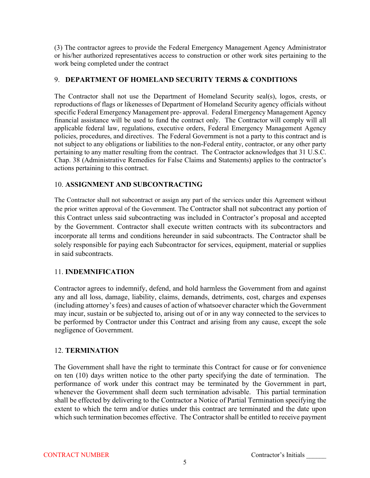(3) The contractor agrees to provide the Federal Emergency Management Agency Administrator or his/her authorized representatives access to construction or other work sites pertaining to the work being completed under the contract

#### 9. **DEPARTMENT OF HOMELAND SECURITY TERMS & CONDITIONS**

The Contractor shall not use the Department of Homeland Security seal(s), logos, crests, or reproductions of flags or likenesses of Department of Homeland Security agency officials without specific Federal Emergency Management pre- approval. Federal Emergency Management Agency financial assistance will be used to fund the contract only. The Contractor will comply will all applicable federal law, regulations, executive orders, Federal Emergency Management Agency policies, procedures, and directives. The Federal Government is not a party to this contract and is not subject to any obligations or liabilities to the non-Federal entity, contractor, or any other party pertaining to any matter resulting from the contract. The Contractor acknowledges that 31 U.S.C. Chap. 38 (Administrative Remedies for False Claims and Statements) applies to the contractor's actions pertaining to this contract.

### 10. **ASSIGNMENT AND SUBCONTRACTING**

The Contractor shall not subcontract or assign any part of the services under this Agreement without the prior written approval of the Government. The Contractor shall not subcontract any portion of this Contract unless said subcontracting was included in Contractor's proposal and accepted by the Government. Contractor shall execute written contracts with its subcontractors and incorporate all terms and conditions hereunder in said subcontracts. The Contractor shall be solely responsible for paying each Subcontractor for services, equipment, material or supplies in said subcontracts.

#### 11. **INDEMNIFICATION**

Contractor agrees to indemnify, defend, and hold harmless the Government from and against any and all loss, damage, liability, claims, demands, detriments, cost, charges and expenses (including attorney's fees) and causes of action of whatsoever character which the Government may incur, sustain or be subjected to, arising out of or in any way connected to the services to be performed by Contractor under this Contract and arising from any cause, except the sole negligence of Government.

### 12. **TERMINATION**

The Government shall have the right to terminate this Contract for cause or for convenience on ten (10) days written notice to the other party specifying the date of termination. The performance of work under this contract may be terminated by the Government in part, whenever the Government shall deem such termination advisable. This partial termination shall be effected by delivering to the Contractor a Notice of Partial Termination specifying the extent to which the term and/or duties under this contract are terminated and the date upon which such termination becomes effective. The Contractor shall be entitled to receive payment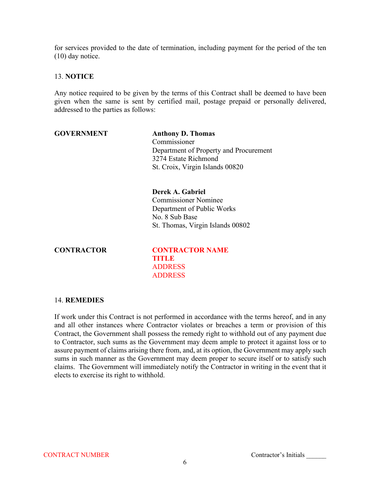for services provided to the date of termination, including payment for the period of the ten (10) day notice.

#### 13. **NOTICE**

Any notice required to be given by the terms of this Contract shall be deemed to have been given when the same is sent by certified mail, postage prepaid or personally delivered, addressed to the parties as follows:

| <b>GOVERNMENT</b> | <b>Anthony D. Thomas</b>               |
|-------------------|----------------------------------------|
|                   | Commissioner                           |
|                   | Department of Property and Procurement |
|                   | 3274 Estate Richmond                   |
|                   | St. Croix, Virgin Islands 00820        |
|                   |                                        |
|                   | Derek A. Gabriel                       |
|                   | <b>Commissioner Nominee</b>            |
|                   | Department of Public Works             |
|                   | No. 8 Sub Base                         |
|                   | St. Thomas, Virgin Islands 00802       |
|                   |                                        |
|                   |                                        |

**CONTRACTOR CONTRACTOR NAME TITLE** ADDRESS ADDRESS

#### 14. **REMEDIES**

If work under this Contract is not performed in accordance with the terms hereof, and in any and all other instances where Contractor violates or breaches a term or provision of this Contract, the Government shall possess the remedy right to withhold out of any payment due to Contractor, such sums as the Government may deem ample to protect it against loss or to assure payment of claims arising there from, and, at its option, the Government may apply such sums in such manner as the Government may deem proper to secure itself or to satisfy such claims. The Government will immediately notify the Contractor in writing in the event that it elects to exercise its right to withhold.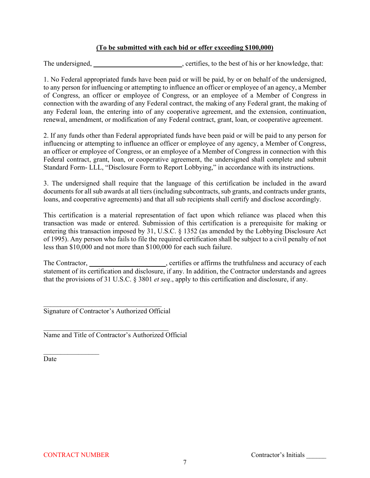#### **(To be submitted with each bid or offer exceeding \$100,000)**

The undersigned, **the undersigned**,  $\cdot$  , certifies, to the best of his or her knowledge, that:

1. No Federal appropriated funds have been paid or will be paid, by or on behalf of the undersigned, to any person for influencing or attempting to influence an officer or employee of an agency, a Member of Congress, an officer or employee of Congress, or an employee of a Member of Congress in connection with the awarding of any Federal contract, the making of any Federal grant, the making of any Federal loan, the entering into of any cooperative agreement, and the extension, continuation, renewal, amendment, or modification of any Federal contract, grant, loan, or cooperative agreement.

2. If any funds other than Federal appropriated funds have been paid or will be paid to any person for influencing or attempting to influence an officer or employee of any agency, a Member of Congress, an officer or employee of Congress, or an employee of a Member of Congress in connection with this Federal contract, grant, loan, or cooperative agreement, the undersigned shall complete and submit Standard Form- LLL, "Disclosure Form to Report Lobbying," in accordance with its instructions.

3. The undersigned shall require that the language of this certification be included in the award documents for all sub awards at all tiers (including subcontracts, sub grants, and contracts under grants, loans, and cooperative agreements) and that all sub recipients shall certify and disclose accordingly.

This certification is a material representation of fact upon which reliance was placed when this transaction was made or entered. Submission of this certification is a prerequisite for making or entering this transaction imposed by 31, U.S.C. § 1352 (as amended by the Lobbying Disclosure Act of 1995). Any person who fails to file the required certification shall be subject to a civil penalty of not less than \$10,000 and not more than \$100,000 for each such failure.

The Contractor, **\_\_\_\_\_\_\_\_\_\_\_\_\_\_\_\_\_\_**, certifies or affirms the truthfulness and accuracy of each statement of its certification and disclosure, if any. In addition, the Contractor understands and agrees that the provisions of 31 U.S.C. § 3801 *et seq*., apply to this certification and disclosure, if any.

\_\_\_\_\_\_\_\_\_\_\_\_\_\_\_\_\_\_\_\_\_\_\_\_\_\_\_\_\_\_\_\_\_\_ Signature of Contractor's Authorized Official

\_\_\_\_\_\_\_\_\_\_\_\_\_\_\_\_\_\_\_\_\_\_\_\_\_\_\_\_\_\_\_\_\_\_\_\_ Name and Title of Contractor's Authorized Official

Date

 $\frac{1}{2}$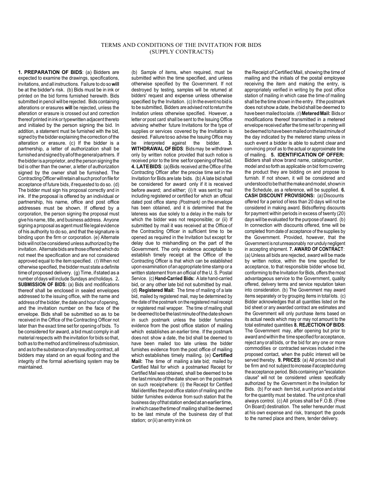#### TERMS AND CONDITIONS OF THE INVITATION FOR BIDS (SUPPLY CONTRACTS)

**1. PREPARATION OF BIDS**: (a) Bidders are expected to examine the drawings, specifications, invitations, and all instructions. Failure to do so**will**  be at the bidder's risk. (b) Bids must be in ink or printed on the bid forms furnished herewith. Bids submitted in pencil will be rejected. Bids containing alterations or erasures **will** be rejected, unless the alteration or erasure is crossed out and correction thereof printed inink ortypewritten adjacent thereto and initialed by the person signing the bid. In addition, a statement must be furnished with the bid, signed by the bidder explaining the correction ofthe alteration or erasure. (c) If the bidder is a partnership, a letter of authorization shall be furnished and signed by all of the general partners. If thebidderisaproprietor, and the person signing the bid is other than the owner, a letter of authorization signed by the owner shall be furnished. The ContractingOfficerwillretainallsuchproofonfilefor acceptance of future bids, ifrequested to do so. (d) The bidder must sign his proposal correctly and in ink. If the proposal is offered by an individual or partnership, his name, office and post office addresses must be shown. If offered by a corporation, the person signing the proposal must give his name, title, and business address. Anyone signing aproposal as agent must file legal evidence of his authority to do so, and that the signature is binding upon the firm or corporation. (e) Alternate bids will not be considered unless authorized by the invitation. Alternate bids arethose offered which do not meet the specification and are not considered approved equal to the item specified. (f) When not otherwise specified, the bidder must state a definite time of proposed delivery. (g) Time, ifstated as a number of days will include Sundays andholidays. 2**. SUBMISSION OF BIDS:** (a) Bids and modifications thereof shall be enclosed in sealed envelopes addressed to the issuing office, with the name and address of the bidder, the date and hour of opening, and the invitation number on the face of the envelope. Bids shall be submitted so as to be received in the Office of the Contracting Officer not later than the exact time set for opening of bids. To be considered for award, a bid must comply in all material respects with the invitation for bids so that, bothas to themethod and timeliness ofsubmission, and as tothe substance ofanyresulting contract, all bidders may stand on an equal footing and the integrity of the formal advertising system may be maintained.

(b) Sample of items, when required, must be submitted within the time specified, and unless otherwise specified by the Government. If not destroyed by testing, samples will be returned at bidders' request and expense unless otherwise specified by the Invitation. (c) In the event no bid is to be submitted, Bidders are advised not toreturn the Invitation unless otherwise specified. However, a letter or post card shall be sent to the Issuing Office advising whether future Invitations for the type of supplies or services covered by the Invitation is desired. Failure to so advise the Issuing Office may be interpreted against the bidder. **3. WITHDRAWAL OF BIDS**: Bids may be withdrawn only by written notice provided that such notice is received prior to the time set for opening of the bid. **4. LATEBIDS**: (a)Bids received at the Office of the Contracting Officer after the precise time set in the Invitation for Bids are late bids. (b) A late bid shall be considered for award only if it is received before award; and either; (i) It was sent by mail including registered or certified for which an official dated post office stamp *(Postmark)* on the envelope has been obtained, and it is determined that the lateness was due solely to a delay in the mails for which the bidder was not responsible; or (ii) If submitted by mail it was received at the Office of the Contracting Officer in sufficient time to be opened as required in the Invitation but except for delay due to mishandling on the part of the Government. The only evidence acceptable to establish timely receipt at the Office of the Contracting Officer is that which can be established upon examination ofan appropriate time stamp or a written statement from an official of the U. S. Postal Service. (c) **Hand-Carried Bids:** Alate hand-carried bid, or any other late bid not submitted by mail. (d) **Registered Mail:** The time of mailing of a late bid, mailed by registered mail, may be determined by the date of the postmark on the registered mail receipt or registered mail wrapper. The time of mailing shall be deemedtobethelastminuteofthedateshown in such postmark unless the bidder furnishes evidence from the post office station of mailing which establishes an earlier time. If the postmark does not show a date, the bid shall be deemed to have been mailed too late unless the bidder furnishes evidence from the post office of mailing which establishes timely mailing. (e) **Certified Mail:** The time of mailing a late bid; mailed by Certified Mail for which a postmarked Receipt for Certified Mail was obtained, shall be deemed to be the last minute of the date shown on the postmark on such receiptwhere: (i) the Receipt for Certified Mail identifies the post office station of mailing and the bidder furnishes evidence from such station that the business day ofthat station endedatanearliertime, inwhichcasethetimeof mailing shall be deemed to be last minute of the business day of that station; or(ii) an entry inink on

the Receipt of Certified Mail, showing the time of mailing and the initials of the postal employee receiving the item and making the entry, is appropriately verified in writing by the post office station of mailing in which case the time of mailing shall be the time shown in the entry. If the postmark does not show a date, the bidshall be deemed to havebeen mailedtoolate. (f)**MeteredMail:** Bidsor modifications thereof transmitted in a metered envelope received afterthe time set for opening will bedeemedtohavebeenmailedonthelastminuteof the day indicated by the metered stamp unless in such event a bidder is able to submit clear and convincing proof as to the actual or approximate time of mailing. **5. IDENTIFICATION OF OFFER:** Bidders shall show brand name, catalognumber, model and so forth as applicable on bid form covering the product they are bidding on and propose to furnish. If not shown, it will be considered and understoodtobethatthemakeandmodel,shownin the Schedule, as a reference, will be supplied. **6. CASH DISCOUNT PROVISIONS:** (a) Discounts offered for a period of less than 20 days will not be considered in making award. Bidsoffering discounts for payment within periods in excess of twenty (20) days will be evaluated forthe purpose of award. (b) In connection with discounts offered, time will be completed from date of acceptance of the supplies by the Government. Provided, however, that the Government is not unreasonably nor unduly negligent in accepting shipment. **7. AWARD OF CONTRACT**: (a) Unless all bids are rejected, award will be made by written notice, within the time specified for acceptance, to that responsible bidder whose bid, conforming to the Invitation for Bids, offers the most advantageous service to the Government, quality offered, delivery terms and service reputation taken into consideration. (b) The Government may award items separately or by grouping items in total lots. (c) Bidder acknowledges that all quantities listed on the bid sheet or any awarded contract are estimates and the Government will only purchase items based on its actual needs which may or may not amount to the total estimated quantities **8. REJECTION OFBIDS**: The Government may, after opening but prior to award andwithin the time specified foracceptance, reject anyorallbids, or the bid for any one or more commodities or contracted services included in the proposed contact, when the public interest will be served thereby. **9. PRICES**: (a) All prices bid shall be firm and not subject to increase if accepted during theacceptance period. Bids containing an"escalation clause" will not be considered unless specifically authorized by the Government in the Invitation for Bids. (b) For each item bid, a unit price and a total for the quantity must be stated. The unit price shall always control. (c) All prices shall be F.O.B. (Free On Board) destination. The seller hereunder must at his own expense and risk, transport the goods to the named place and there, tender delivery.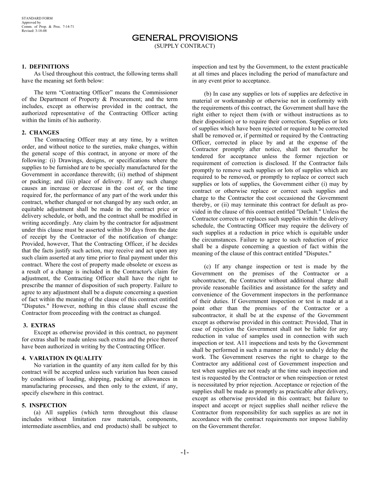### GENERAL PROVISIONS

(SUPPLY CONTRACT)

#### **1. DEFINITIONS**

As Used throughout this contract, the following terms shall have the meaning set forth below:

 The term "Contracting Officer" means the Commissioner of the Department of Property & Procurement; and the term includes, except as otherwise provided in the contract, the authorized representative of the Contracting Officer acting within the limits of his authority.

#### **2. CHANGES**

 The Contracting Officer may at any time, by a written order, and without notice to the sureties, make changes, within the general scope of this contract, in anyone or more of the following: (i) Drawings, designs, or specifications where the supplies to be furnished are to be specially manufactured for the Government in accordance therewith; (ii) method of shipment or packing; and (iii) place of delivery. If any such change causes an increase or decrease in the cost of, or the time required for, the performance of any part of the work under this contract, whether changed or not changed by any such order, an equitable adjustment shall be made in the contract price or delivery schedule, or both, and the contract shall be modified in writing accordingly. Any claim by the contractor for adjustment under this clause must be asserted within 30 days from the date of receipt by the Contractor of the notification of change: Provided, however, That the Contracting Officer, if he decides that the facts justify such action, may receive and act upon any such claim asserted at any time prior to final payment under this contract. Where the cost of property made obsolete or excess as a result of a change is included in the Contractor's claim for adjustment, the Contracting Officer shall have the right to prescribe the manner of disposition of such property. Failure to agree to any adjustment shall be a dispute concerning a question of fact within the meaning of the clause of this contract entitled "Disputes." However, nothing in this clause shall excuse the Contractor from proceeding with the contract as changed.

#### **3. EXTRAS**

Except as otherwise provided in this contract, no payment for extras shall be made unless such extras and the price thereof have been authorized in writing by the Contracting Officer.

#### **4. VARIATION IN QUALITY**

 No variation in the quantity of any item called for by this contract will be accepted unless such variation has been caused by conditions of loading, shipping, packing or allowances in manufacturing processes, and then only to the extent, if any, specify elsewhere in this contract.

#### **5. INSPECTION**

 (a) All supplies (which term throughout this clause includes without limitation raw materials, components, intermediate assemblies, and end products) shall be subject to

inspection and test by the Government, to the extent practicable at all times and places including the period of manufacture and in any event prior to acceptance.

(b) In case any supplies or lots of supplies are defective in material or workmanship or otherwise not in conformity with the requirements of this contract, the Government shall have the right either to reject them (with or without instructions as to their disposition) or to require their correction. Supplies or lots of supplies which have been rejected or required to be corrected shall be removed or, if permitted or required by the Contracting Officer, corrected in place by and at the expense of the Contractor promptly after notice, shall not thereafter be tendered for acceptance unless the former rejection or requirement of correction is disclosed. If the Contractor fails promptly to remove such supplies or lots of supplies which are required to be removed, or promptly to replace or correct such supplies or lots of supplies, the Government either (i) may by contract or otherwise replace or correct such supplies and charge to the Contractor the cost occasioned the Government thereby, or (ii) may terminate this contract for default as provided in the clause of this contract entitled "Default." Unless the Contractor corrects or replaces such supplies within the delivery schedule, the Contracting Officer may require the delivery of such supplies at a reduction in price which is equitable under the circumstances. Failure to agree to such reduction of price shall be a dispute concerning a question of fact within the meaning of the clause of this contract entitled "Disputes."

(c) If any change inspection or test is made by the Government on the premises of the Contractor or a subcontractor, the Contractor without additional charge shall provide reasonable facilities and assistance for the safety and convenience of the Government inspectors in the performance of their duties. If Government inspection or test is made at a point other than the premises of the Contractor or a subcontractor, it shall be at the expense of the Government except as otherwise provided in this contract: Provided, That in case of rejection the Government shall not be liable for any reduction in value of samples used in connection with such inspection or test. A11 inspections and tests by the Government shall be performed in such a manner as not to undu1y delay the work. The Government reserves the right to charge to the Contractor any additional cost of Government inspection and test when supplies are not ready at the time such inspection and test is requested by the Contractor or when reinspection or retest is necessitated by prior rejection. Acceptance or rejection of the supplies shall be made as promptly as practicable after delivery, except as otherwise provided in this contract; but failure to inspect and accept or reject supplies shall neither relieve the Contractor from responsibility for such supplies as are not in accordance with the contract requirements nor impose liability on the Government therefor.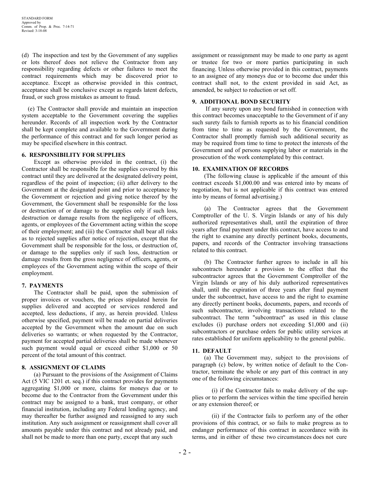(d) The inspection and test by the Government of any supplies or lots thereof does not relieve the Contractor from any responsibility regarding defects or other failures to meet the contract requirements which may be discovered prior to acceptance. Except as otherwise provided in this contract, acceptance shall be conclusive except as regards latent defects, fraud, or such gross mistakes as amount to fraud.

(e) The Contractor shall provide and maintain an inspection system acceptable to the Government covering the supplies hereunder. Records of all inspection work by the Contractor shall be kept complete and available to the Government during the performance of this contract and for such longer period as may be specified elsewhere in this contract.

#### **6. RESPONSIBILITY FOR SUPPLIES**

 Except as otherwise provided in the contract, (i) the Contractor shall be responsible for the supplies covered by this contract until they are delivered at the designated delivery point, regardless of the point of inspection; (ii) after delivery to the Government at the designated point and prior to acceptance by the Government or rejection and giving notice thereof by the Government, the Government shall be responsible for the loss or destruction of or damage to the supplies only if such loss, destruction or damage results from the negligence of officers, agents, or employees of the Government acting within the scope of their employment; and (iii) the Contractor shall bear all risks as to rejected supplies after notice of rejection, except that the Government shall be responsible for the loss, or destruction of, or damage to the supplies only if such loss, destruction or damage results from the gross negligence of officers, agents, or employees of the Government acting within the scope of their employment.

#### **7. PAYMENTS**

 The Contractor shall be paid, upon the submission of proper invoices or vouchers, the prices stipulated herein for supplies delivered and accepted or services rendered and accepted, less deductions, if any, as herein provided. Unless otherwise specified, payment will be made on partial deliveries accepted by the Government when the amount due on such deliveries so warrants; or when requested by the Contractor, payment for accepted partial deliveries shall be made whenever such payment would equal or exceed either \$1,000 or 50 percent of the total amount of this contract.

#### **8. ASSIGNMENT OF CLAIMS**

(a) Pursuant to the provisions of the Assignment of Claims Act (5 VIC 1201 et. seq.) if this contract provides for payments aggregating \$1,000 or more, claims for moneys due or to become due to the Contractor from the Government under this contract may be assigned to a bank, trust company, or other financial institution, including any Federal lending agency, and may thereafter be further assigned and reassigned to any such institution. Any such assignment or reassignment shall cover all amounts payable under this contract and not already paid, and shall not be made to more than one party, except that any such

assignment or reassignment may be made to one party as agent or trustee for two or more parties participating in such financing. Unless otherwise provided in this contract, payments to an assignee of any moneys due or to become due under this contract shall not, to the extent provided in said Act, as amended, be subject to reduction or set off.

#### **9. ADDITIONAL BOND SECURITY**

If any surety upon any bond furnished in connection with this contract becomes unacceptable to the Government of if any such surety fails to furnish reports as to his financial condition from time to time as requested by the Government, the Contractor shall promptly furnish such additional security as may be required from time to time to protect the interests of the Government and of persons supplying labor or materials in the prosecution of the work contemplated by this contract.

#### **10. EXAMINATION OF RECORDS**

 (The following clause is applicable if the amount of this contract exceeds \$1,000.00 and was entered into by means of negotiation, but is not applicable if this contract was entered into by means of formal advertising.)

 (a) The Contractor agrees that the Government Comptroller of the U. S. Virgin Islands or any of his duly authorized representatives shall, until the expiration of three years after final payment under this contract, have access to and the right to examine any directly pertinent books, documents, papers, and records of the Contractor involving transactions related to this contract.

 (b) The Contractor further agrees to include in all his subcontracts hereunder a provision to the effect that the subcontractor agrees that the Government Comptroller of the Virgin Islands or any of his duly authorized representatives shall, until the expiration of three years after final payment under the subcontract, have access to and the right to examine any directly pertinent books, documents, papers, and records of such subcontractor, involving transactions related to the subcontract. The term "subcontract" as used in this clause excludes (i) purchase orders not exceeding \$1,000 and (ii) subcontractors or purchase orders for public utility services at rates established for uniform applicability to the general public.

#### **11. DEFAULT**

(a) The Government may, subject to the provisions of paragraph (c) below, by written notice of default to the Contractor, terminate the whole or any part of this contract in any one of the following circumstances:

 (i) if the Contractor fails to make delivery of the supplies or to perform the services within the time specified herein or any extension thereof; or

 (ii) if the Contractor fails to perform any of the other provisions of this contract, or so fails to make progress as to endanger performance of this contract in accordance with its terms, and in either of these two circumstances does not cure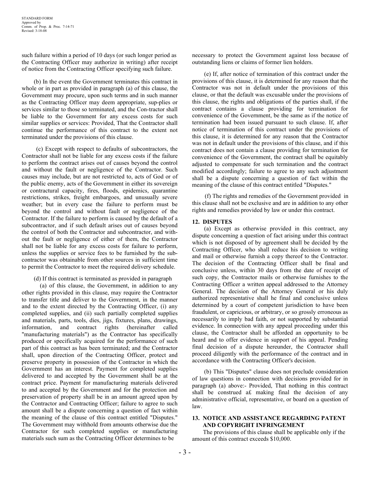such failure within a period of 10 days (or such longer period as the Contracting Officer may authorize in writing) after receipt of notice from the Contracting Officer specifying such failure.

(b) In the event the Government terminates this contract in whole or in part as provided in paragraph (a) of this clause, the Government may procure, upon such terms and in such manner as the Contracting Officer may deem appropriate, sup-plies or services similar to those so terminated, and the Con-tractor shall be liable to the Government for any excess costs for such similar supplies or services: Provided, That the Contractor shall continue the performance of this contract to the extent not terminated under the provisions of this clause.

 (c) Except with respect to defaults of subcontractors, the Contractor shall not be liable for any excess costs if the failure to perform the contract arises out of causes beyond the control and without the fault or negligence of the Contractor. Such causes may include, but are not restricted to, acts of God or of the public enemy, acts of the Government in either its sovereign or contractural capacity, fires, floods, epidemics, quarantine restrictions, strikes, freight embargoes, and unusually severe weather; but in every case the failure to perform must be beyond the control and without fault or negligence of the Contractor. If the failure to perform is caused by the default of a subcontractor, and if such default arises out of causes beyond the control of both the Contractor and subcontractor, and without the fault or negligence of either of them, the Contractor shall not be liable for any excess costs for failure to perform, unless the supplies or service fees to be furnished by the subcontractor was obtainable from other sources in sufficient time to permit the Contractor to meet the required delivery schedule.

(d) If this contract is terminated as provided in paragraph

 (a) of this clause, the Government, in addition to any other rights provided in this clause, may require the Contractor to transfer title and deliver to the Government, in the manner and to the extent directed by the Contracting Officer, (i) any completed supplies, and (ii) such partially completed supplies and materials, parts, tools, dies, jigs, fixtures, plans, drawings, information, and contract rights (hereinafter called "manufacturing materials") as the Contractor has specifically produced or specifically acquired for the performance of such part of this contract as has been terminated; and the Contractor shall, upon direction of the Contracting Officer, protect and preserve property in possession of the Contractor in which the Government has an interest. Payment for completed supplies delivered to and accepted by the Government shall be at the contract price. Payment for manufacturing materials delivered to and accepted by the Government and for the protection and preservation of property shall be in an amount agreed upon by the Contractor and Contracting Officer; failure to agree to such amount shall be a dispute concerning a question of fact within the meaning of the clause of this contract entitled "Disputes." The Government may withhold from amounts otherwise due the Contractor for such completed supplies or manufacturing materials such sum as the Contracting Officer determines to be

necessary to protect the Government against loss because of outstanding liens or claims of former lien holders.

 (e) If, after notice of termination of this contract under the provisions of this clause, it is determined for any reason that the Contractor was not in default under the provisions of this clause, or that the default was excusable under the provisions of this clause, the rights and obligations of the parties shall, if the contract contains a clause providing for termination for convenience of the Government, be the same as if the notice of termination had been issued pursuant to such clause. If, after notice of termination of this contract under the provisions of this clause, it is determined for any reason that the Contractor was not in default under the provisions of this clause, and if this contract does not contain a clause providing for termination for convenience of the Government, the contract shall be equitably adjusted to compensate for such termination and the contract modified accordingly; failure to agree to any such adjustment shall be a dispute concerning a question of fact within the meaning of the clause of this contract entitled "Disputes."

 (f) The rights and remedies of the Government provided in this clause shall not be exclusive and are in addition to any other rights and remedies provided by law or under this contract.

#### **12. DISPUTES**

 (a) Except as otherwise provided in this contract, any dispute concerning a question of fact arising under this contract which is not disposed of by agreement shall be decided by the Contracting Officer, who shall reduce his decision to writing and mail or otherwise furnish a copy thereof to the Contractor. The decision of the Contracting Officer shall be final and conclusive unless, within 30 days from the date of receipt of such copy, the Contractor mails or otherwise furnishes to the Contracting Officer a written appeal addressed to the Attorney General. The decision of the Attorney General or his duly authorized representative shall he final and conclusive unless determined by a court of competent jurisdiction to have been fraudulent, or capricious, or arbitrary, or so grossly erroneous as necessarily to imply bad faith, or not supported by substantial evidence. In connection with any appeal proceeding under this clause, the Contractor shall be afforded an opportunity to be heard and to offer evidence in support of his appeal. Pending final decision of a dispute hereunder, the Contractor shall proceed diligently with the performance of the contract and in accordance with the Contracting Officer's decision.

 (b) This "Disputes" clause does not preclude consideration of law questions in connection with decisions provided for in paragraph (a) above:- Provided, That nothing in this contract shall be construed a£ making final the decision of any administrative official, representative, or board on a question of law.

#### **13. NOTICE AND ASSISTANCE REGARDING PATENT AND COPYRIGHT INFRINGEMENT**

The provisions of this clause shall be applicable only if the amount of this contract exceeds \$10,000.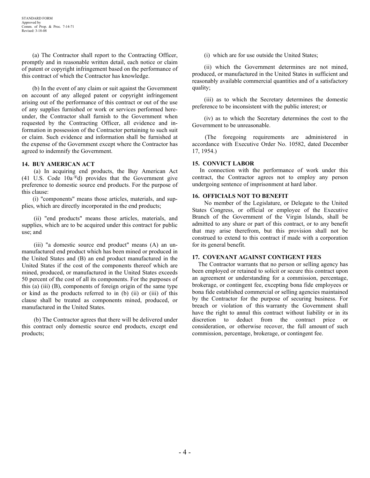(a) The Contractor shall report to the Contracting Officer, promptly and in reasonable written detail, each notice or claim of patent or copyright infringement based on the performance of this contract of which the Contractor has knowledge.

 (b) In the event of any claim or suit against the Government on account of any alleged patent or copyright infringement arising out of the performance of this contract or out of the use of any supplies furnished or work or services performed hereunder, the Contractor shall furnish to the Government when requested by the Contracting Officer, all evidence and information in possession of the Contractor pertaining to such suit or claim. Such evidence and information shall be furnished at the expense of the Government except where the Contractor has agreed to indemnify the Government.

#### **14. BUY AMERICAN ACT**

 (a) In acquiring end products, the Buy American Act (41 U.S. Code 10a $\pm$ d) provides that the Government give preference to domestic source end products. For the purpose of this clause:

 (i) "components" means those articles, materials, and supplies, which are directly incorporated in the end products;

 (ii) "end products" means those articles, materials, and supplies, which are to be acquired under this contract for public use; and

 (iii) "a domestic source end product" means (A) an unmanufactured end product which has been mined or produced in the United States and (B) an end product manufactured in the United States if the cost of the components thereof which are mined, produced, or manufactured in the United States exceeds 50 percent of the cost of all its components. For the purposes of this (a) (iii) (B), components of foreign origin of the same type or kind as the products referred to in (b) (ii) or (iii) of this clause shall be treated as components mined, produced, or manufactured in the United States.

 (b) The Contractor agrees that there will be delivered under this contract only domestic source end products, except end products;

(i) which are for use outside the United States;

 (ii) which the Government determines are not mined, produced, or manufactured in the United States in sufficient and reasonably available commercial quantities and of a satisfactory quality;

 (iii) as to which the Secretary determines the domestic preference to be inconsistent with the public interest; or

 (iv) as to which the Secretary determines the cost to the Government to be unreasonable.

 (The foregoing requirements are administered in accordance with Executive Order No. 10582, dated December 17, 1954.)

#### **15. CONVICT LABOR**

 In connection with the performance of work under this contract, the Contractor agrees not to employ any person undergoing sentence of imprisonment at hard labor.

#### **16. OFFICIALS NOT TO BENEFIT**

 No member of the Legislature, or Delegate to the United States Congress, or official or employee of the Executive Branch of the Government of the Virgin Islands, shall be admitted to any share or part of this contract, or to any benefit that may arise therefrom, but this provision shall not be construed to extend to this contract if made with a corporation for its general benefit.

#### **17. COVENANT AGAINST CONTIGENT FEES**

 The Contractor warrants that no person or selling agency has been employed or retained to solicit or secure this contract upon an agreement or understanding for a commission, percentage, brokerage, or contingent fee, excepting bona fide employees or bona fide established commercial or selling agencies maintained by the Contractor for the purpose of securing business. For breach or violation of this warranty the Government shall have the right to annul this contract without liability or in its discretion to deduct from the contract price or consideration, or otherwise recover, the full amount of such commission, percentage, brokerage, or contingent fee.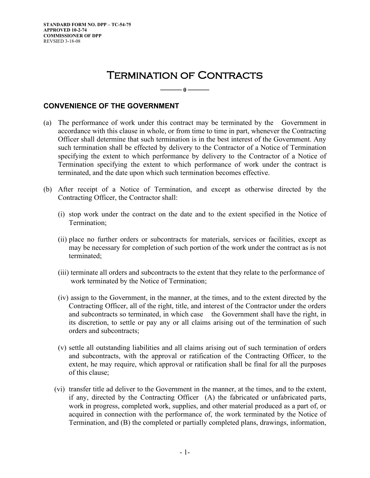# Termination of Contracts

**───── 0 ─────**

### **CONVENIENCE OF THE GOVERNMENT**

- (a) The performance of work under this contract may be terminated by the Government in accordance with this clause in whole, or from time to time in part, whenever the Contracting Officer shall determine that such termination is in the best interest of the Government. Any such termination shall be effected by delivery to the Contractor of a Notice of Termination specifying the extent to which performance by delivery to the Contractor of a Notice of Termination specifying the extent to which performance of work under the contract is terminated, and the date upon which such termination becomes effective.
- (b) After receipt of a Notice of Termination, and except as otherwise directed by the Contracting Officer, the Contractor shall:
	- (i) stop work under the contract on the date and to the extent specified in the Notice of Termination;
	- (ii) place no further orders or subcontracts for materials, services or facilities, except as may be necessary for completion of such portion of the work under the contract as is not terminated;
	- (iii) terminate all orders and subcontracts to the extent that they relate to the performance of work terminated by the Notice of Termination;
	- (iv) assign to the Government, in the manner, at the times, and to the extent directed by the Contracting Officer, all of the right, title, and interest of the Contractor under the orders and subcontracts so terminated, in which case the Government shall have the right, in its discretion, to settle or pay any or all claims arising out of the termination of such orders and subcontracts;
	- (v) settle all outstanding liabilities and all claims arising out of such termination of orders and subcontracts, with the approval or ratification of the Contracting Officer, to the extent, he may require, which approval or ratification shall be final for all the purposes of this clause;
	- (vi) transfer title ad deliver to the Government in the manner, at the times, and to the extent, if any, directed by the Contracting Officer (A) the fabricated or unfabricated parts, work in progress, completed work, supplies, and other material produced as a part of, or acquired in connection with the performance of, the work terminated by the Notice of Termination, and (B) the completed or partially completed plans, drawings, information,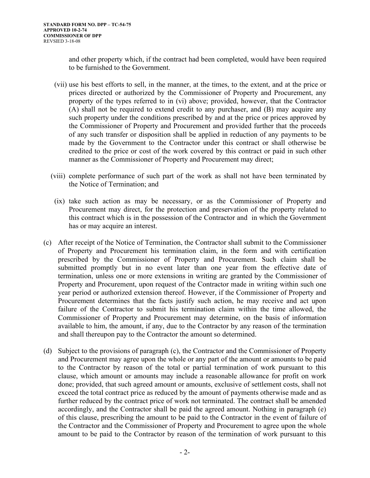and other property which, if the contract had been completed, would have been required to be furnished to the Government.

- (vii) use his best efforts to sell, in the manner, at the times, to the extent, and at the price or prices directed or authorized by the Commissioner of Property and Procurement, any property of the types referred to in (vi) above; provided, however, that the Contractor (A) shall not be required to extend credit to any purchaser, and (B) may acquire any such property under the conditions prescribed by and at the price or prices approved by the Commissioner of Property and Procurement and provided further that the proceeds of any such transfer or disposition shall be applied in reduction of any payments to be made by the Government to the Contractor under this contract or shall otherwise be credited to the price or cost of the work covered by this contract or paid in such other manner as the Commissioner of Property and Procurement may direct;
- (viii) complete performance of such part of the work as shall not have been terminated by the Notice of Termination; and
- (ix) take such action as may be necessary, or as the Commissioner of Property and Procurement may direct, for the protection and preservation of the property related to this contract which is in the possession of the Contractor and in which the Government has or may acquire an interest.
- (c) After receipt of the Notice of Termination, the Contractor shall submit to the Commissioner of Property and Procurement his termination claim, in the form and with certification prescribed by the Commissioner of Property and Procurement. Such claim shall be submitted promptly but in no event later than one year from the effective date of termination, unless one or more extensions in writing are granted by the Commissioner of Property and Procurement, upon request of the Contractor made in writing within such one year period or authorized extension thereof. However, if the Commissioner of Property and Procurement determines that the facts justify such action, he may receive and act upon failure of the Contractor to submit his termination claim within the time allowed, the Commissioner of Property and Procurement may determine, on the basis of information available to him, the amount, if any, due to the Contractor by any reason of the termination and shall thereupon pay to the Contractor the amount so determined.
- (d) Subject to the provisions of paragraph (c), the Contractor and the Commissioner of Property and Procurement may agree upon the whole or any part of the amount or amounts to be paid to the Contractor by reason of the total or partial termination of work pursuant to this clause, which amount or amounts may include a reasonable allowance for profit on work done; provided, that such agreed amount or amounts, exclusive of settlement costs, shall not exceed the total contract price as reduced by the amount of payments otherwise made and as further reduced by the contract price of work not terminated. The contract shall be amended accordingly, and the Contractor shall be paid the agreed amount. Nothing in paragraph (e) of this clause, prescribing the amount to be paid to the Contractor in the event of failure of the Contractor and the Commissioner of Property and Procurement to agree upon the whole amount to be paid to the Contractor by reason of the termination of work pursuant to this